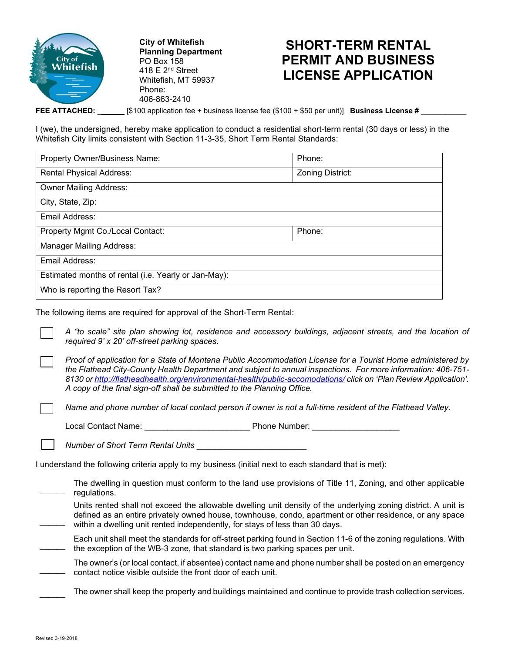

**City of Whitefish Planning Department** PO Box 158 418 E 2nd Street Whitefish, MT 59937 Phone: 406-863-2410

## **SHORT-TERM RENTAL PERMIT AND BUSINESS LICENSE APPLICATION**

**FEE ATTACHED: \_** [\$100 application fee + business license fee (\$100 + \$50 per unit)] **Business License #** \_\_\_\_\_\_\_\_\_\_\_

I (we), the undersigned, hereby make application to conduct a residential short-term rental (30 days or less) in the Whitefish City limits consistent with Section 11-3-35, Short Term Rental Standards:

| Property Owner/Business Name:                        | Phone:           |  |  |  |
|------------------------------------------------------|------------------|--|--|--|
| <b>Rental Physical Address:</b>                      | Zoning District: |  |  |  |
| <b>Owner Mailing Address:</b>                        |                  |  |  |  |
| City, State, Zip:                                    |                  |  |  |  |
| Email Address:                                       |                  |  |  |  |
| Property Mgmt Co./Local Contact:                     | Phone:           |  |  |  |
| <b>Manager Mailing Address:</b>                      |                  |  |  |  |
| Email Address:                                       |                  |  |  |  |
| Estimated months of rental (i.e. Yearly or Jan-May): |                  |  |  |  |
| Who is reporting the Resort Tax?                     |                  |  |  |  |

The following items are required for approval of the Short-Term Rental:

*A "to scale" site plan showing lot, residence and accessory buildings, adjacent streets, and the location of required 9' x 20' off-street parking spaces.*

*Proof of application for a State of Montana Public Accommodation License for a Tourist Home administered by the Flathead City-County Health Department and subject to annual inspections. For more information: 406-751- 8130 o[r http://flatheadhealth.org/environmental-health/public-accomodations/](http://flatheadhealth.org/environmental-health/public-accomodations/) click on 'Plan Review Application'. A copy of the final sign-off shall be submitted to the Planning Office.*

*Name and phone number of local contact person if owner is not a full-time resident of the Flathead Valley.*

Local Contact Name: \_\_\_\_\_\_\_\_\_\_\_\_\_\_\_\_\_\_\_\_\_\_\_ Phone Number: \_\_\_\_\_\_\_\_\_\_\_\_\_\_\_\_\_\_\_

*Number of Short Term Rental Units* \_\_\_\_\_\_\_\_\_\_\_\_\_\_\_\_\_\_\_\_\_\_\_\_

I understand the following criteria apply to my business (initial next to each standard that is met):

 $\overline{\phantom{a}}$ The dwelling in question must conform to the land use provisions of Title 11, Zoning, and other applicable regulations.

Units rented shall not exceed the allowable dwelling unit density of the underlying zoning district. A unit is defined as an entire privately owned house, townhouse, condo, apartment or other residence, or any space within a dwelling unit rented independently, for stays of less than 30 days.

 $\overline{\phantom{a}}$ Each unit shall meet the standards for off-street parking found in Section 11-6 of the zoning regulations. With the exception of the WB-3 zone, that standard is two parking spaces per unit.

 $\overline{\phantom{a}}$ The owner's (or local contact, if absentee) contact name and phone number shall be posted on an emergency contact notice visible outside the front door of each unit.

The owner shall keep the property and buildings maintained and continue to provide trash collection services.

 $\overline{\phantom{a}}$